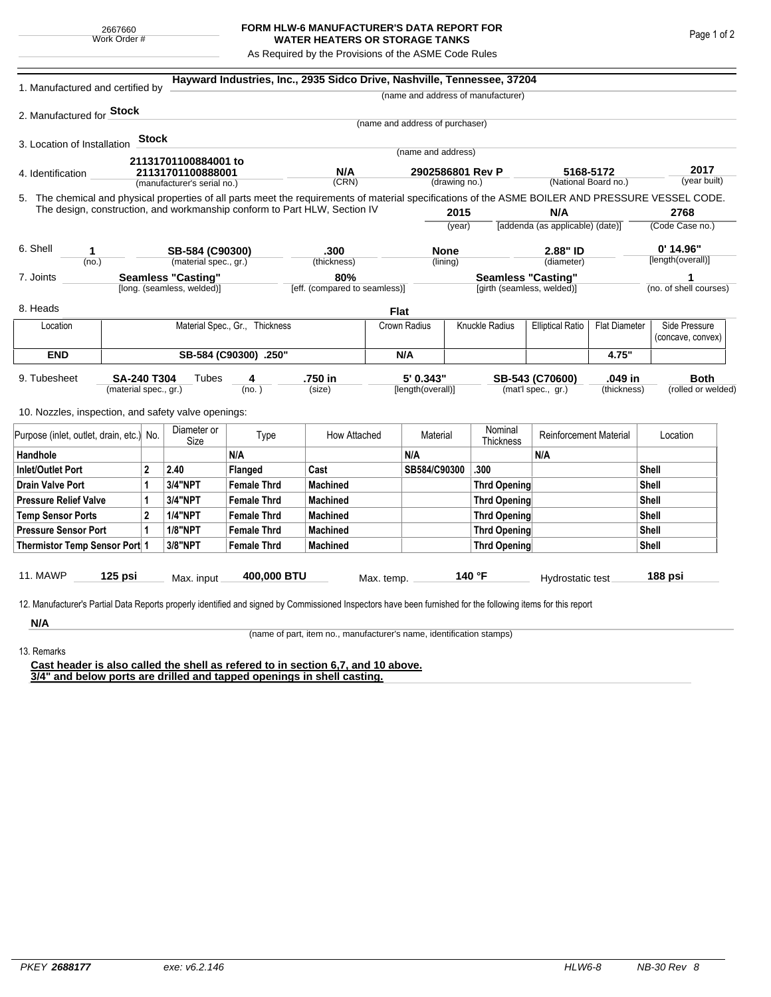## **FORM HLW-6 MANUFACTURER'S DATA REPORT FOR WATER HEATERS OR STORAGE TANKS**

As Required by the Provisions of the ASME Code Rules

| 1. Manufactured and certified by                                                                                                                                                                                                                                    |                                                                      |              |                             | Hayward Industries, Inc., 2935 Sidco Drive, Nashville, Tennessee, 37204 |                 |              |                                                         |      |                                    |                                                 |       |                             |                                    |  |
|---------------------------------------------------------------------------------------------------------------------------------------------------------------------------------------------------------------------------------------------------------------------|----------------------------------------------------------------------|--------------|-----------------------------|-------------------------------------------------------------------------|-----------------|--------------|---------------------------------------------------------|------|------------------------------------|-------------------------------------------------|-------|-----------------------------|------------------------------------|--|
|                                                                                                                                                                                                                                                                     |                                                                      |              |                             |                                                                         |                 |              |                                                         |      | (name and address of manufacturer) |                                                 |       |                             |                                    |  |
| 2. Manufactured for Stock                                                                                                                                                                                                                                           |                                                                      |              |                             |                                                                         |                 |              |                                                         |      |                                    |                                                 |       |                             |                                    |  |
|                                                                                                                                                                                                                                                                     |                                                                      |              |                             |                                                                         |                 |              | (name and address of purchaser)                         |      |                                    |                                                 |       |                             |                                    |  |
| 3. Location of Installation                                                                                                                                                                                                                                         |                                                                      | <b>Stock</b> |                             |                                                                         |                 |              |                                                         |      |                                    |                                                 |       |                             |                                    |  |
|                                                                                                                                                                                                                                                                     |                                                                      |              | 21131701100884001 to        |                                                                         |                 |              | (name and address)                                      |      |                                    |                                                 |       |                             |                                    |  |
| 4. Identification                                                                                                                                                                                                                                                   |                                                                      |              | 21131701100888001           |                                                                         | N/A             |              | 2902586801 Rev P<br>(drawing no.)                       |      |                                    | 5168-5172<br>(National Board no.)               |       |                             | 2017<br>(year built)               |  |
|                                                                                                                                                                                                                                                                     |                                                                      |              | (manufacturer's serial no.) |                                                                         | (CRN)           |              |                                                         |      |                                    |                                                 |       |                             |                                    |  |
| 5. The chemical and physical properties of all parts meet the requirements of material specifications of the ASME BOILER AND PRESSURE VESSEL CODE.<br>The design, construction, and workmanship conform to Part HLW, Section IV<br>2015<br>N/A                      |                                                                      |              |                             |                                                                         |                 |              |                                                         |      |                                    | 2768                                            |       |                             |                                    |  |
|                                                                                                                                                                                                                                                                     |                                                                      |              |                             |                                                                         |                 |              | (year)                                                  |      |                                    | [addenda (as applicable) (date)]                |       | (Code Case no.)             |                                    |  |
|                                                                                                                                                                                                                                                                     |                                                                      |              |                             |                                                                         |                 |              |                                                         |      |                                    |                                                 |       |                             |                                    |  |
| 6. Shell<br>1                                                                                                                                                                                                                                                       |                                                                      |              | SB-584 (C90300)             |                                                                         | .300            |              | <b>None</b>                                             |      | 2.88" ID                           |                                                 |       |                             | $0'$ 14.96"                        |  |
| (no.)                                                                                                                                                                                                                                                               |                                                                      |              | (material spec., gr.)       |                                                                         | (thickness)     |              | (lining)                                                |      | (diameter)                         |                                                 |       | [length(overall)]           |                                    |  |
|                                                                                                                                                                                                                                                                     | <b>Seamless "Casting"</b><br>7. Joints<br>[long. (seamless, welded)] |              |                             | 80%<br>[eff. (compared to seamless)]                                    |                 |              | <b>Seamless "Casting"</b><br>[girth (seamless, welded)] |      |                                    |                                                 |       | 1<br>(no. of shell courses) |                                    |  |
|                                                                                                                                                                                                                                                                     |                                                                      |              |                             |                                                                         |                 |              |                                                         |      |                                    |                                                 |       |                             |                                    |  |
| 8. Heads                                                                                                                                                                                                                                                            |                                                                      |              |                             |                                                                         |                 | <b>Flat</b>  |                                                         |      |                                    |                                                 |       |                             |                                    |  |
| Location                                                                                                                                                                                                                                                            | Material Spec., Gr., Thickness                                       |              |                             |                                                                         |                 |              | Crown Radius                                            |      | Knuckle Radius                     | <b>Elliptical Ratio</b><br><b>Flat Diameter</b> |       |                             | Side Pressure<br>(concave, convex) |  |
| <b>END</b>                                                                                                                                                                                                                                                          |                                                                      |              |                             | SB-584 (C90300) .250"                                                   |                 |              |                                                         | N/A  |                                    |                                                 | 4.75" |                             |                                    |  |
| 5' 0.343"<br>.750 in<br>.049 in<br>9. Tubesheet<br><b>SA-240 T304</b><br>Tubes<br>SB-543 (C70600)<br>4<br>(mat'l spec., gr.)<br>(material spec., gr.)<br>(no.)<br>(size)<br>[length(overall)]<br>(thickness)<br>10. Nozzles, inspection, and safety valve openings: |                                                                      |              |                             |                                                                         |                 |              |                                                         |      |                                    | <b>Both</b><br>(rolled or welded)               |       |                             |                                    |  |
| Purpose (inlet, outlet, drain, etc.) No.                                                                                                                                                                                                                            |                                                                      |              | Diameter or<br>Size         | Type                                                                    | How Attached    |              | Material                                                |      | Nominal<br>Thickness               | <b>Reinforcement Material</b>                   |       | Location                    |                                    |  |
| Handhole                                                                                                                                                                                                                                                            |                                                                      |              |                             | N/A                                                                     |                 |              | N/A                                                     |      |                                    | N/A                                             |       |                             |                                    |  |
| $\mathbf{2}$<br>Inlet/Outlet Port                                                                                                                                                                                                                                   |                                                                      | 2.40         | Flanged                     | Cast                                                                    |                 | SB584/C90300 |                                                         | .300 |                                    |                                                 | Shell |                             |                                    |  |
| Drain Valve Port<br>1                                                                                                                                                                                                                                               |                                                                      |              | <b>3/4"NPT</b>              | <b>Female Thrd</b>                                                      | <b>Machined</b> |              |                                                         |      | Thrd Opening                       |                                                 |       |                             | Shell                              |  |
| <b>Pressure Relief Valve</b><br>1                                                                                                                                                                                                                                   |                                                                      |              | 3/4"NPT                     | <b>Female Thrd</b>                                                      | <b>Machined</b> |              |                                                         |      | Thrd Opening                       |                                                 | Shell |                             |                                    |  |
| $\overline{2}$<br><b>Temp Sensor Ports</b>                                                                                                                                                                                                                          |                                                                      |              | <b>1/4"NPT</b>              | <b>Female Thrd</b>                                                      | <b>Machined</b> |              |                                                         |      | Thrd Opening                       |                                                 |       | Shell                       |                                    |  |
| <b>Pressure Sensor Port</b><br>1                                                                                                                                                                                                                                    |                                                                      |              | <b>1/8"NPT</b>              | <b>Female Thrd</b>                                                      | <b>Machined</b> |              |                                                         |      | Thrd Opening                       |                                                 | Shell |                             |                                    |  |
| Thermistor Temp Sensor Port 1                                                                                                                                                                                                                                       |                                                                      |              | 3/8"NPT                     | <b>Female Thrd</b>                                                      | <b>Machined</b> |              |                                                         |      | Thrd Opening                       |                                                 | Shell |                             |                                    |  |
| 11. MAWP<br>12. Manufacturer's Partial Data Reports properly identified and signed by Commissioned Inspectors have been furnished for the following items for this report                                                                                           | $125$ psi                                                            |              | Max. input                  | 400,000 BTU                                                             |                 | Max. temp.   |                                                         |      | 140 °F                             | Hydrostatic test                                |       |                             | 188 psi                            |  |
| N/A                                                                                                                                                                                                                                                                 |                                                                      |              |                             |                                                                         |                 |              |                                                         |      |                                    |                                                 |       |                             |                                    |  |

(name of part, item no., manufacturer's name, identification stamps)

13. Remarks

**Cast header is also called the shell as refered to in section 6,7, and 10 above. 3/4" and below ports are drilled and tapped openings in shell casting.**